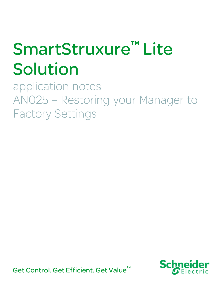# SmartStruxure™ Lite Solution

 application notes AN025 – Restoring your Manager to Factory Settings

Get Control. Get Efficient. Get Value<sup>™</sup>

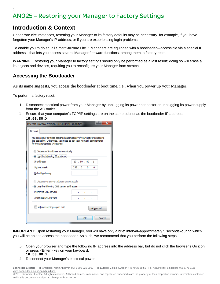#### **Introduction & Context**

Under rare circumstances, resetting your Manager to its factory defaults may be necessary–for example, if you have forgotten your Manager's IP address, or if you are experiencing login problems.

To enable you to do so, all SmartStruxure Lite™ Managers are equipped with a bootloader—accessible via a special IP address—that lets you access several Manager firmware functions, among them, a factory reset.

**WARNING**: Restoring your Manager to factory settings should only be performed as a last resort; doing so will erase all its objects and devices, requiring you to reconfigure your Manager from scratch.

#### **Accessing the Bootloader**

As its name suggests, you access the bootloader at boot time, i.e., when you power up your Manager.

To perform a factory reset:

- 1. Disconnect electrical power from your Manager by unplugging its power connector or unplugging its power supply from the AC outlet.
- 2. Ensure that your computer's TCP/IP settings are on the same subnet as the bootloader IP address: **10.50.80.X**.

|                                                                                                                                                                                       | Internet Protocol Version 4 (TCP/IPv4) Properties |             |              |  |    |                                   |  |  |          | x |
|---------------------------------------------------------------------------------------------------------------------------------------------------------------------------------------|---------------------------------------------------|-------------|--------------|--|----|-----------------------------------|--|--|----------|---|
|                                                                                                                                                                                       | General                                           |             |              |  |    |                                   |  |  |          |   |
| You can get IP settings assigned automatically if your network supports<br>this capability. Otherwise, you need to ask your network administrator<br>for the appropriate IP settings. |                                                   |             |              |  |    |                                   |  |  |          |   |
|                                                                                                                                                                                       | <b>b</b> Obtain an IP address automatically       |             |              |  |    |                                   |  |  |          |   |
|                                                                                                                                                                                       | <b>O Use the following IP address:</b>            |             |              |  |    |                                   |  |  |          |   |
|                                                                                                                                                                                       | IP address:                                       |             |              |  |    | 10.50.80.1                        |  |  |          |   |
|                                                                                                                                                                                       | Subnet mask:                                      | 255.0.0.0.0 |              |  |    |                                   |  |  |          |   |
|                                                                                                                                                                                       | Default gateway:                                  |             | $\mathbf{r}$ |  |    | <b>Contract Contract Contract</b> |  |  |          |   |
|                                                                                                                                                                                       | b Obtain DNS server address automatically         |             |              |  |    |                                   |  |  |          |   |
| O Use the following DNS server addresses:                                                                                                                                             |                                                   |             |              |  |    |                                   |  |  |          |   |
|                                                                                                                                                                                       | Preferred DNS server:                             |             |              |  |    |                                   |  |  |          |   |
|                                                                                                                                                                                       | Alternate DNS server:                             |             |              |  |    |                                   |  |  |          |   |
|                                                                                                                                                                                       | Validate settings upon exit                       |             |              |  |    |                                   |  |  | Advanced |   |
|                                                                                                                                                                                       |                                                   |             |              |  | OK |                                   |  |  | Cancel   |   |

**IMPORTANT:** Upon restarting your Manager, you will have only a brief interval–approximately 5 seconds–during which you will be able to access the bootloader. As such, we recommend that you perform the following steps

- 3. Open your browser and type the following IP address into the address bar, but do not click the browser's Go icon or press <Enter> key on your keyboard: **10.50.80.2**
- 4. Reconnect your Manager's electrical power.

**Schneider Electric** Tel. Americas: North Andover, MA 1-800-225-0962 Tel. Europe: Malmö, Sweden +46 40 38 68 50 Tel. Asia Pacific: Singapore +65 6776 3166 www.schneider-electric.com/buildings

© 2013 Schneider Electric. All rights reserved. All brand names, trademarks, and registered trademarks are the property of their respective owners. Information contained within this document is subject to change without notice.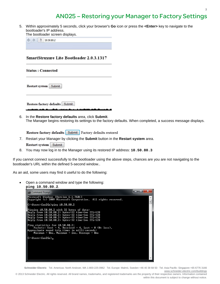### AN025 – Restoring your Manager to Factory Settings

5. Within approximately 5 seconds, click your browser's **Go** icon or press the **<Enter>** key to navigate to the bootloader's IP address.

The bootloader screen displays.

| $\sim$ | ٠ |
|--------|---|
|        |   |

#### **SmartStruxure Lite Bootloader 2.0.3.1317**

| <b>Status: Connected</b> |        |  |  |  |  |
|--------------------------|--------|--|--|--|--|
| Restart system<br>Submit |        |  |  |  |  |
| Restore factory defaults | Submit |  |  |  |  |

6. In the **Restore factory defaults** area, click **Submit**. The Manager begins restoring its settings to the factory defaults. When completed, a success message displays.

Restore factory defaults Submit Factory defaults restored

- 7. Restart your Manager by clicking the **Submit** button in the **Restart system** area. **Restart system** Submit
- 8. You may now log in to the Manager using its restored IP address: **10.50.80.3**

If you cannot connect successfully to the bootloader using the above steps, chances are you are not navigating to the bootloader's URL within the defined 5-second window..

As an aid, some users may find it useful to do the following:

 Open a command window and type the following: **ping 10.50.80.2**.



**Schneider Electric** Tel. Americas: North Andover, MA 1-800-225-0962 Tel. Europe: Malmö, Sweden +46 40 38 68 50 Tel. Asia Pacific: Singapore +65 6776 3166 www.schneider-electric.com/buildings

© 2013 Schneider Electric. All rights reserved. All brand names, trademarks, and registered trademarks are the property of their respective owners. Information contained within this document is subject to change without notice.